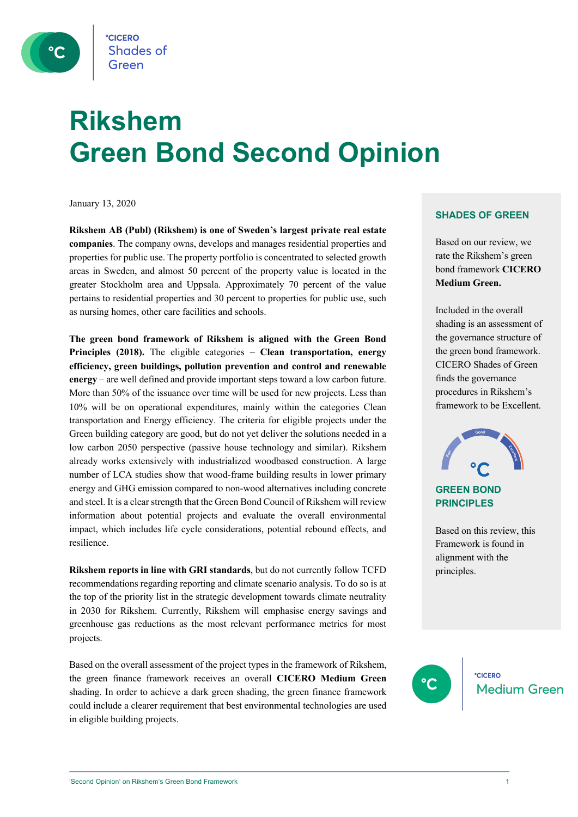

# **Rikshem Green Bond Second Opinion**

January 13, 2020

**Rikshem AB (Publ) (Rikshem) is one of Sweden's largest private real estate companies**. The company owns, develops and manages residential properties and properties for public use. The property portfolio is concentrated to selected growth areas in Sweden, and almost 50 percent of the property value is located in the greater Stockholm area and Uppsala. Approximately 70 percent of the value pertains to residential properties and 30 percent to properties for public use, such as nursing homes, other care facilities and schools.

**The green bond framework of Rikshem is aligned with the Green Bond Principles (2018).** The eligible categories – **Clean transportation, energy efficiency, green buildings, pollution prevention and control and renewable energy** – are well defined and provide important steps toward a low carbon future. More than 50% of the issuance over time will be used for new projects. Less than 10% will be on operational expenditures, mainly within the categories Clean transportation and Energy efficiency. The criteria for eligible projects under the Green building category are good, but do not yet deliver the solutions needed in a low carbon 2050 perspective (passive house technology and similar). Rikshem already works extensively with industrialized woodbased construction. A large number of LCA studies show that wood-frame building results in lower primary energy and GHG emission compared to non-wood alternatives including concrete and steel. It is a clear strength that the Green Bond Council of Rikshem will review information about potential projects and evaluate the overall environmental impact, which includes life cycle considerations, potential rebound effects, and resilience.

**Rikshem reports in line with GRI standards**, but do not currently follow TCFD recommendations regarding reporting and climate scenario analysis. To do so is at the top of the priority list in the strategic development towards climate neutrality in 2030 for Rikshem. Currently, Rikshem will emphasise energy savings and greenhouse gas reductions as the most relevant performance metrics for most projects.

Based on the overall assessment of the project types in the framework of Rikshem, the green finance framework receives an overall **CICERO Medium Green** shading. In order to achieve a dark green shading, the green finance framework could include a clearer requirement that best environmental technologies are used in eligible building projects.

### **SHADES OF GREEN**

Based on our review, we rate the Rikshem's green bond framework **CICERO Medium Green.** 

Included in the overall shading is an assessment of the governance structure of the green bond framework. CICERO Shades of Green finds the governance procedures in Rikshem's framework to be Excellent.



### **GREEN BOND PRINCIPLES**

Based on this review, this Framework is found in alignment with the principles.

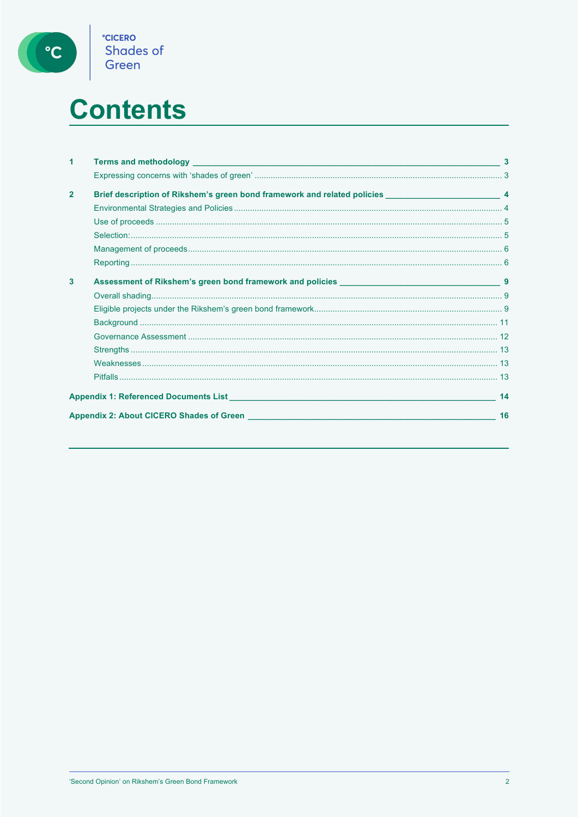

# **Contents**

| 1              |                                                                                                             |    |
|----------------|-------------------------------------------------------------------------------------------------------------|----|
|                |                                                                                                             |    |
| $\overline{2}$ | Brief description of Rikshem's green bond framework and related policies _________________________________4 |    |
|                |                                                                                                             |    |
|                |                                                                                                             |    |
|                |                                                                                                             |    |
|                |                                                                                                             |    |
|                |                                                                                                             |    |
| 3              |                                                                                                             |    |
|                |                                                                                                             |    |
|                |                                                                                                             |    |
|                |                                                                                                             |    |
|                |                                                                                                             |    |
|                |                                                                                                             |    |
|                |                                                                                                             |    |
|                |                                                                                                             |    |
|                | Appendix 1: Referenced Documents List Appendix 1: Referenced Documents List                                 | 14 |
|                |                                                                                                             | 16 |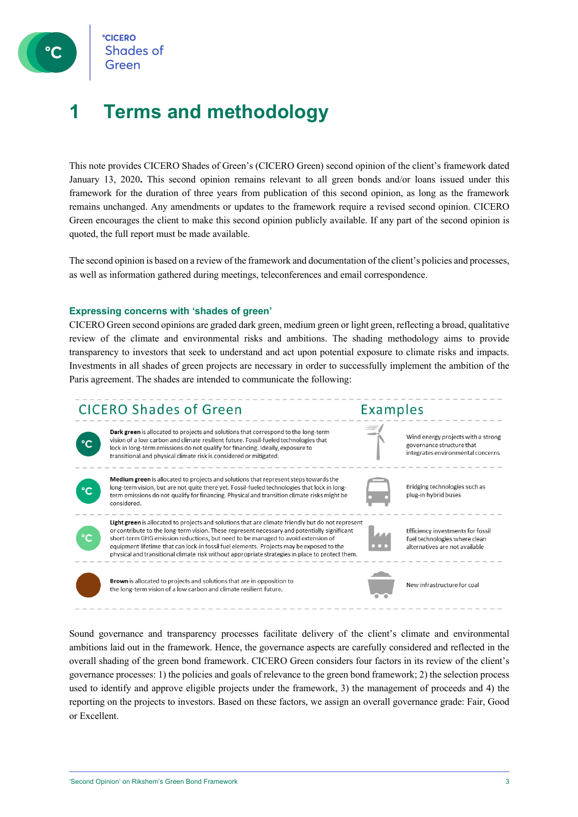### **1 Terms and methodology**

This note provides CICERO Shades of Green's (CICERO Green) second opinion of the client's framework dated January 13, 2020**.** This second opinion remains relevant to all green bonds and/or loans issued under this framework for the duration of three years from publication of this second opinion, as long as the framework remains unchanged. Any amendments or updates to the framework require a revised second opinion. CICERO Green encourages the client to make this second opinion publicly available. If any part of the second opinion is quoted, the full report must be made available.

The second opinion is based on a review of the framework and documentation of the client's policies and processes, as well as information gathered during meetings, teleconferences and email correspondence.

### **Expressing concerns with 'shades of green'**

CICERO Green second opinions are graded dark green, medium green or light green, reflecting a broad, qualitative review of the climate and environmental risks and ambitions. The shading methodology aims to provide transparency to investors that seek to understand and act upon potential exposure to climate risks and impacts. Investments in all shades of green projects are necessary in order to successfully implement the ambition of the Paris agreement. The shades are intended to communicate the following:



Sound governance and transparency processes facilitate delivery of the client's climate and environmental ambitions laid out in the framework. Hence, the governance aspects are carefully considered and reflected in the overall shading of the green bond framework. CICERO Green considers four factors in its review of the client's governance processes: 1) the policies and goals of relevance to the green bond framework; 2) the selection process used to identify and approve eligible projects under the framework, 3) the management of proceeds and 4) the reporting on the projects to investors. Based on these factors, we assign an overall governance grade: Fair, Good or Excellent.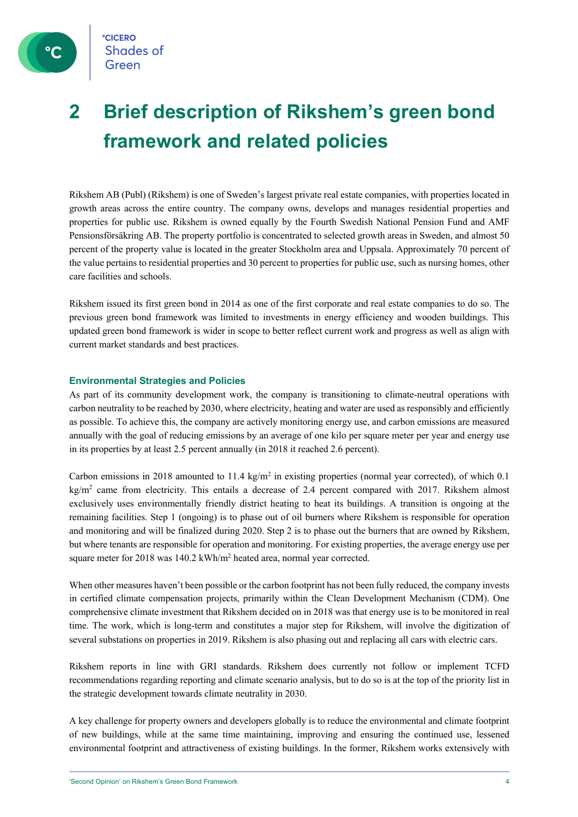

### **2 Brief description of Rikshem's green bond framework and related policies**

Rikshem AB (Publ) (Rikshem) is one of Sweden's largest private real estate companies, with properties located in growth areas across the entire country. The company owns, develops and manages residential properties and properties for public use. Rikshem is owned equally by the Fourth Swedish National Pension Fund and AMF Pensionsförsäkring AB. The property portfolio is concentrated to selected growth areas in Sweden, and almost 50 percent of the property value is located in the greater Stockholm area and Uppsala. Approximately 70 percent of the value pertains to residential properties and 30 percent to properties for public use, such as nursing homes, other care facilities and schools.

Rikshem issued its first green bond in 2014 as one of the first corporate and real estate companies to do so. The previous green bond framework was limited to investments in energy efficiency and wooden buildings. This updated green bond framework is wider in scope to better reflect current work and progress as well as align with current market standards and best practices.

### **Environmental Strategies and Policies**

As part of its community development work, the company is transitioning to climate-neutral operations with carbon neutrality to be reached by 2030, where electricity, heating and water are used as responsibly and efficiently as possible. To achieve this, the company are actively monitoring energy use, and carbon emissions are measured annually with the goal of reducing emissions by an average of one kilo per square meter per year and energy use in its properties by at least 2.5 percent annually (in 2018 it reached 2.6 percent).

Carbon emissions in 2018 amounted to 11.4 kg/m<sup>2</sup> in existing properties (normal year corrected), of which 0.1 kg/m<sup>2</sup> came from electricity. This entails a decrease of 2.4 percent compared with 2017. Rikshem almost exclusively uses environmentally friendly district heating to heat its buildings. A transition is ongoing at the remaining facilities. Step 1 (ongoing) is to phase out of oil burners where Rikshem is responsible for operation and monitoring and will be finalized during 2020. Step 2 is to phase out the burners that are owned by Rikshem, but where tenants are responsible for operation and monitoring. For existing properties, the average energy use per square meter for 2018 was 140.2 kWh/m<sup>2</sup> heated area, normal year corrected.

When other measures haven't been possible or the carbon footprint has not been fully reduced, the company invests in certified climate compensation projects, primarily within the Clean Development Mechanism (CDM). One comprehensive climate investment that Rikshem decided on in 2018 was that energy use is to be monitored in real time. The work, which is long-term and constitutes a major step for Rikshem, will involve the digitization of several substations on properties in 2019. Rikshem is also phasing out and replacing all cars with electric cars.

Rikshem reports in line with GRI standards. Rikshem does currently not follow or implement TCFD recommendations regarding reporting and climate scenario analysis, but to do so is at the top of the priority list in the strategic development towards climate neutrality in 2030.

A key challenge for property owners and developers globally is to reduce the environmental and climate footprint of new buildings, while at the same time maintaining, improving and ensuring the continued use, lessened environmental footprint and attractiveness of existing buildings. In the former, Rikshem works extensively with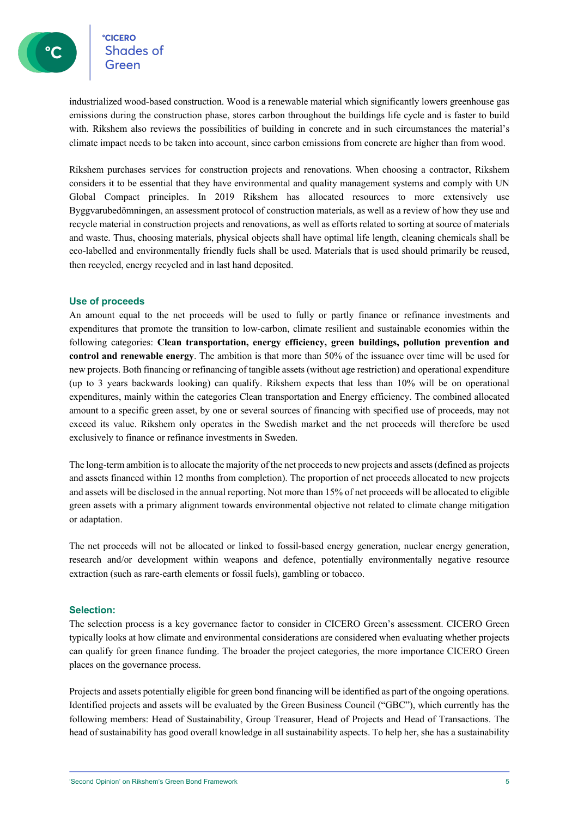**CICERO Shades of** 

industrialized wood-based construction. Wood is a renewable material which significantly lowers greenhouse gas emissions during the construction phase, stores carbon throughout the buildings life cycle and is faster to build with. Rikshem also reviews the possibilities of building in concrete and in such circumstances the material's climate impact needs to be taken into account, since carbon emissions from concrete are higher than from wood.

Rikshem purchases services for construction projects and renovations. When choosing a contractor, Rikshem considers it to be essential that they have environmental and quality management systems and comply with UN Global Compact principles. In 2019 Rikshem has allocated resources to more extensively use Byggvarubedömningen, an assessment protocol of construction materials, as well as a review of how they use and recycle material in construction projects and renovations, as well as efforts related to sorting at source of materials and waste. Thus, choosing materials, physical objects shall have optimal life length, cleaning chemicals shall be eco-labelled and environmentally friendly fuels shall be used. Materials that is used should primarily be reused, then recycled, energy recycled and in last hand deposited.

### **Use of proceeds**

An amount equal to the net proceeds will be used to fully or partly finance or refinance investments and expenditures that promote the transition to low-carbon, climate resilient and sustainable economies within the following categories: **Clean transportation, energy efficiency, green buildings, pollution prevention and control and renewable energy**. The ambition is that more than 50% of the issuance over time will be used for new projects. Both financing or refinancing of tangible assets (without age restriction) and operational expenditure (up to 3 years backwards looking) can qualify. Rikshem expects that less than 10% will be on operational expenditures, mainly within the categories Clean transportation and Energy efficiency. The combined allocated amount to a specific green asset, by one or several sources of financing with specified use of proceeds, may not exceed its value. Rikshem only operates in the Swedish market and the net proceeds will therefore be used exclusively to finance or refinance investments in Sweden.

The long-term ambition is to allocate the majority of the net proceeds to new projects and assets (defined as projects and assets financed within 12 months from completion). The proportion of net proceeds allocated to new projects and assets will be disclosed in the annual reporting. Not more than 15% of net proceeds will be allocated to eligible green assets with a primary alignment towards environmental objective not related to climate change mitigation or adaptation.

The net proceeds will not be allocated or linked to fossil-based energy generation, nuclear energy generation, research and/or development within weapons and defence, potentially environmentally negative resource extraction (such as rare-earth elements or fossil fuels), gambling or tobacco.

#### **Selection:**

The selection process is a key governance factor to consider in CICERO Green's assessment. CICERO Green typically looks at how climate and environmental considerations are considered when evaluating whether projects can qualify for green finance funding. The broader the project categories, the more importance CICERO Green places on the governance process.

Projects and assets potentially eligible for green bond financing will be identified as part of the ongoing operations. Identified projects and assets will be evaluated by the Green Business Council ("GBC"), which currently has the following members: Head of Sustainability, Group Treasurer, Head of Projects and Head of Transactions. The head of sustainability has good overall knowledge in all sustainability aspects. To help her, she has a sustainability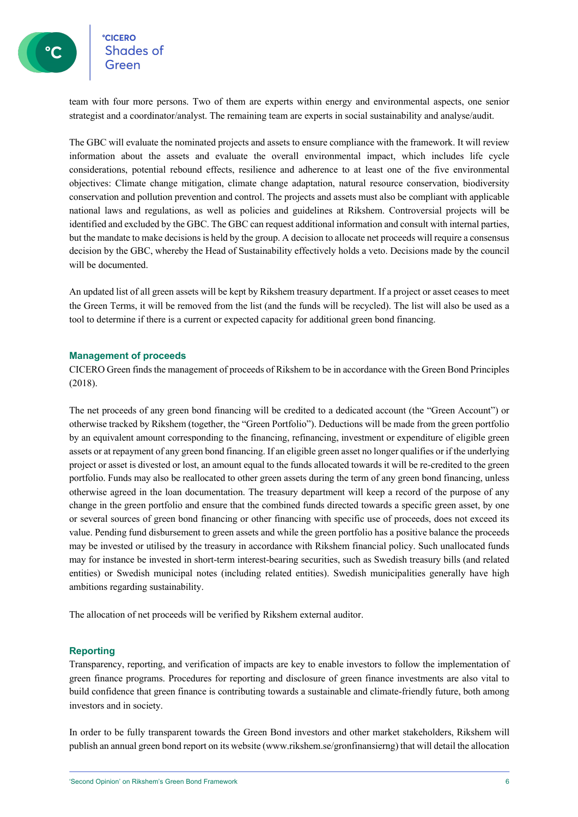**°CICERO Shades of** 

team with four more persons. Two of them are experts within energy and environmental aspects, one senior strategist and a coordinator/analyst. The remaining team are experts in social sustainability and analyse/audit.

The GBC will evaluate the nominated projects and assets to ensure compliance with the framework. It will review information about the assets and evaluate the overall environmental impact, which includes life cycle considerations, potential rebound effects, resilience and adherence to at least one of the five environmental objectives: Climate change mitigation, climate change adaptation, natural resource conservation, biodiversity conservation and pollution prevention and control. The projects and assets must also be compliant with applicable national laws and regulations, as well as policies and guidelines at Rikshem. Controversial projects will be identified and excluded by the GBC. The GBC can request additional information and consult with internal parties, but the mandate to make decisions is held by the group. A decision to allocate net proceeds will require a consensus decision by the GBC, whereby the Head of Sustainability effectively holds a veto. Decisions made by the council will be documented.

An updated list of all green assets will be kept by Rikshem treasury department. If a project or asset ceases to meet the Green Terms, it will be removed from the list (and the funds will be recycled). The list will also be used as a tool to determine if there is a current or expected capacity for additional green bond financing.

### **Management of proceeds**

CICERO Green finds the management of proceeds of Rikshem to be in accordance with the Green Bond Principles (2018).

The net proceeds of any green bond financing will be credited to a dedicated account (the "Green Account") or otherwise tracked by Rikshem (together, the "Green Portfolio"). Deductions will be made from the green portfolio by an equivalent amount corresponding to the financing, refinancing, investment or expenditure of eligible green assets or at repayment of any green bond financing. If an eligible green asset no longer qualifies or if the underlying project or asset is divested or lost, an amount equal to the funds allocated towards it will be re-credited to the green portfolio. Funds may also be reallocated to other green assets during the term of any green bond financing, unless otherwise agreed in the loan documentation. The treasury department will keep a record of the purpose of any change in the green portfolio and ensure that the combined funds directed towards a specific green asset, by one or several sources of green bond financing or other financing with specific use of proceeds, does not exceed its value. Pending fund disbursement to green assets and while the green portfolio has a positive balance the proceeds may be invested or utilised by the treasury in accordance with Rikshem financial policy. Such unallocated funds may for instance be invested in short-term interest-bearing securities, such as Swedish treasury bills (and related entities) or Swedish municipal notes (including related entities). Swedish municipalities generally have high ambitions regarding sustainability.

The allocation of net proceeds will be verified by Rikshem external auditor.

#### **Reporting**

Transparency, reporting, and verification of impacts are key to enable investors to follow the implementation of green finance programs. Procedures for reporting and disclosure of green finance investments are also vital to build confidence that green finance is contributing towards a sustainable and climate-friendly future, both among investors and in society.

In order to be fully transparent towards the Green Bond investors and other market stakeholders, Rikshem will publish an annual green bond report on its website (www.rikshem.se/gronfinansierng) that will detail the allocation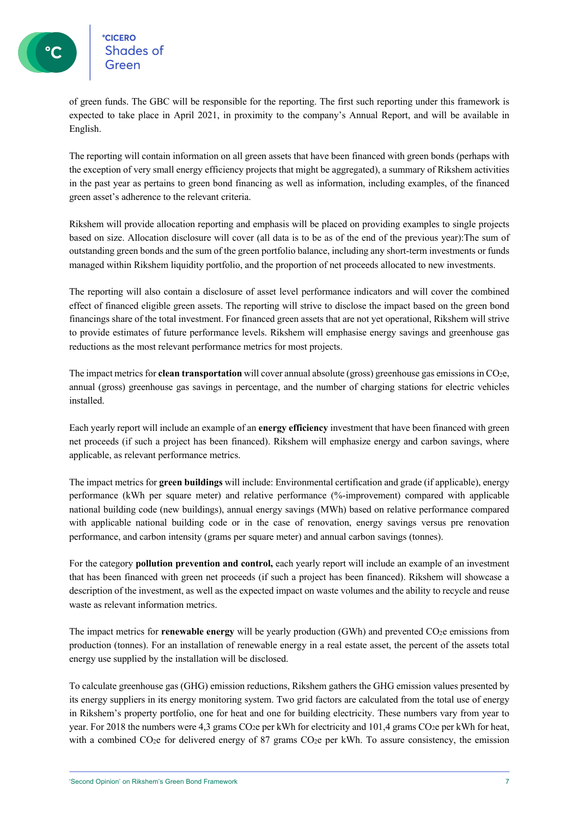of green funds. The GBC will be responsible for the reporting. The first such reporting under this framework is expected to take place in April 2021, in proximity to the company's Annual Report, and will be available in English.

The reporting will contain information on all green assets that have been financed with green bonds (perhaps with the exception of very small energy efficiency projects that might be aggregated), a summary of Rikshem activities in the past year as pertains to green bond financing as well as information, including examples, of the financed green asset's adherence to the relevant criteria.

Rikshem will provide allocation reporting and emphasis will be placed on providing examples to single projects based on size. Allocation disclosure will cover (all data is to be as of the end of the previous year):The sum of outstanding green bonds and the sum of the green portfolio balance, including any short-term investments or funds managed within Rikshem liquidity portfolio, and the proportion of net proceeds allocated to new investments.

The reporting will also contain a disclosure of asset level performance indicators and will cover the combined effect of financed eligible green assets. The reporting will strive to disclose the impact based on the green bond financings share of the total investment. For financed green assets that are not yet operational, Rikshem will strive to provide estimates of future performance levels. Rikshem will emphasise energy savings and greenhouse gas reductions as the most relevant performance metrics for most projects.

The impact metrics for **clean transportation** will cover annual absolute (gross) greenhouse gas emissions in CO<sub>2</sub>e, annual (gross) greenhouse gas savings in percentage, and the number of charging stations for electric vehicles installed.

Each yearly report will include an example of an **energy efficiency** investment that have been financed with green net proceeds (if such a project has been financed). Rikshem will emphasize energy and carbon savings, where applicable, as relevant performance metrics.

The impact metrics for **green buildings** will include: Environmental certification and grade (if applicable), energy performance (kWh per square meter) and relative performance (%-improvement) compared with applicable national building code (new buildings), annual energy savings (MWh) based on relative performance compared with applicable national building code or in the case of renovation, energy savings versus pre renovation performance, and carbon intensity (grams per square meter) and annual carbon savings (tonnes).

For the category **pollution prevention and control,** each yearly report will include an example of an investment that has been financed with green net proceeds (if such a project has been financed). Rikshem will showcase a description of the investment, as well as the expected impact on waste volumes and the ability to recycle and reuse waste as relevant information metrics.

The impact metrics for **renewable energy** will be yearly production (GWh) and prevented CO<sub>2</sub>e emissions from production (tonnes). For an installation of renewable energy in a real estate asset, the percent of the assets total energy use supplied by the installation will be disclosed.

To calculate greenhouse gas (GHG) emission reductions, Rikshem gathers the GHG emission values presented by its energy suppliers in its energy monitoring system. Two grid factors are calculated from the total use of energy in Rikshem's property portfolio, one for heat and one for building electricity. These numbers vary from year to year. For 2018 the numbers were 4,3 grams CO<sub>2</sub>e per kWh for electricity and 101,4 grams CO<sub>2</sub>e per kWh for heat, with a combined CO<sub>2</sub>e for delivered energy of 87 grams CO<sub>2</sub>e per kWh. To assure consistency, the emission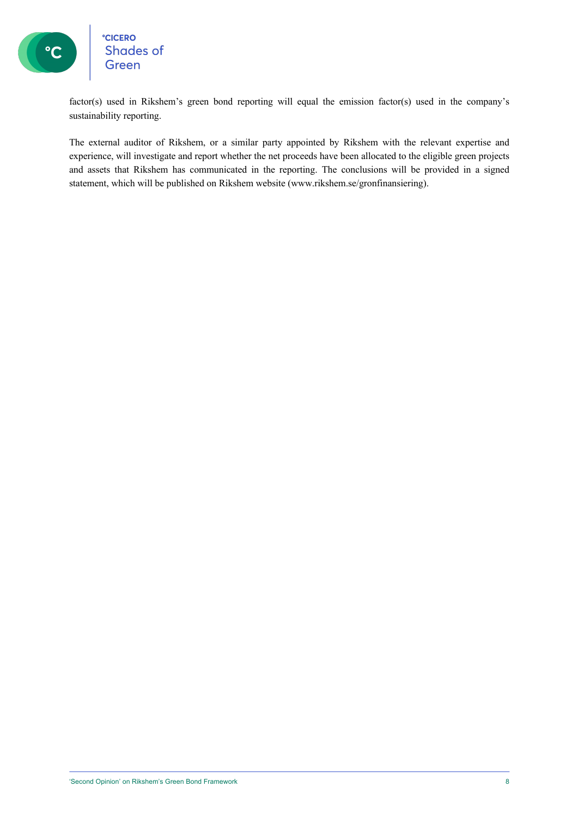

### **CICERO**<br>Shades of Green

factor(s) used in Rikshem's green bond reporting will equal the emission factor(s) used in the company's sustainability reporting.

The external auditor of Rikshem, or a similar party appointed by Rikshem with the relevant expertise and experience, will investigate and report whether the net proceeds have been allocated to the eligible green projects and assets that Rikshem has communicated in the reporting. The conclusions will be provided in a signed statement, which will be published on Rikshem website (www.rikshem.se/gronfinansiering).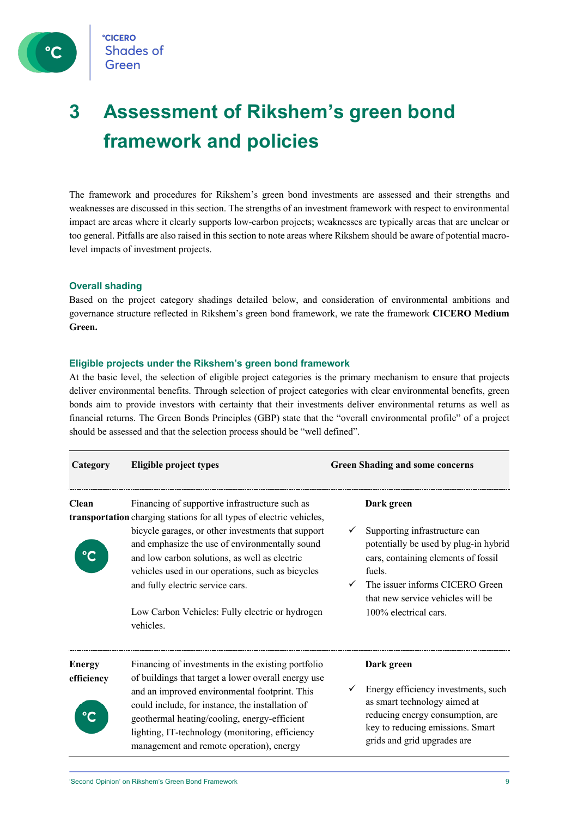

### **3 Assessment of Rikshem's green bond framework and policies**

The framework and procedures for Rikshem's green bond investments are assessed and their strengths and weaknesses are discussed in this section. The strengths of an investment framework with respect to environmental impact are areas where it clearly supports low-carbon projects; weaknesses are typically areas that are unclear or too general. Pitfalls are also raised in this section to note areas where Rikshem should be aware of potential macrolevel impacts of investment projects.

### **Overall shading**

Based on the project category shadings detailed below, and consideration of environmental ambitions and governance structure reflected in Rikshem's green bond framework, we rate the framework **CICERO Medium Green.**

### **Eligible projects under the Rikshem's green bond framework**

At the basic level, the selection of eligible project categories is the primary mechanism to ensure that projects deliver environmental benefits. Through selection of project categories with clear environmental benefits, green bonds aim to provide investors with certainty that their investments deliver environmental returns as well as financial returns. The Green Bonds Principles (GBP) state that the "overall environmental profile" of a project should be assessed and that the selection process should be "well defined".

| Category                    | <b>Eligible project types</b>                                                                                                                                                                                                                                                                                                                                                                                                            | <b>Green Shading and some concerns</b>                                                                                                                                                                                                 |  |
|-----------------------------|------------------------------------------------------------------------------------------------------------------------------------------------------------------------------------------------------------------------------------------------------------------------------------------------------------------------------------------------------------------------------------------------------------------------------------------|----------------------------------------------------------------------------------------------------------------------------------------------------------------------------------------------------------------------------------------|--|
| <b>Clean</b>                | Financing of supportive infrastructure such as<br>transportation charging stations for all types of electric vehicles,<br>bicycle garages, or other investments that support<br>and emphasize the use of environmentally sound<br>and low carbon solutions, as well as electric<br>vehicles used in our operations, such as bicycles<br>and fully electric service cars.<br>Low Carbon Vehicles: Fully electric or hydrogen<br>vehicles. | Dark green<br>Supporting infrastructure can<br>potentially be used by plug-in hybrid<br>cars, containing elements of fossil<br>fuels.<br>The issuer informs CICERO Green<br>that new service vehicles will be<br>100% electrical cars. |  |
| <b>Energy</b><br>efficiency | Financing of investments in the existing portfolio<br>of buildings that target a lower overall energy use<br>and an improved environmental footprint. This<br>could include, for instance, the installation of<br>geothermal heating/cooling, energy-efficient<br>lighting, IT-technology (monitoring, efficiency<br>management and remote operation), energy                                                                            | Dark green<br>Energy efficiency investments, such<br>as smart technology aimed at<br>reducing energy consumption, are<br>key to reducing emissions. Smart<br>grids and grid upgrades are                                               |  |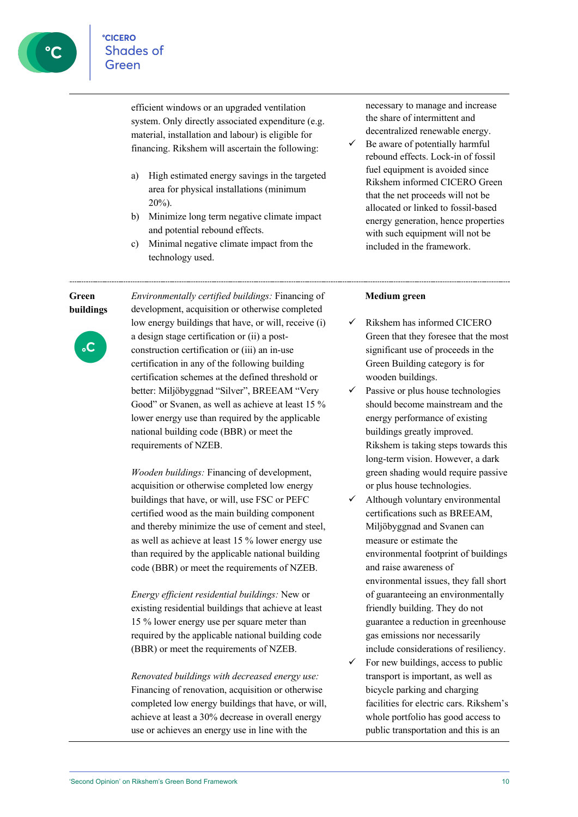efficient windows or an upgraded ventilation system. Only directly associated expenditure (e.g. material, installation and labour) is eligible for financing. Rikshem will ascertain the following:

- a) High estimated energy savings in the targeted area for physical installations (minimum 20%).
- b) Minimize long term negative climate impact and potential rebound effects.
- c) Minimal negative climate impact from the technology used.

necessary to manage and increase the share of intermittent and decentralized renewable energy.

 $\checkmark$  Be aware of potentially harmful rebound effects. Lock-in of fossil fuel equipment is avoided since Rikshem informed CICERO Green that the net proceeds will not be allocated or linked to fossil-based energy generation, hence properties with such equipment will not be included in the framework.

### **Green buildings**



*Environmentally certified buildings:* Financing of development, acquisition or otherwise completed low energy buildings that have, or will, receive (i) a design stage certification or (ii) a postconstruction certification or (iii) an in-use certification in any of the following building certification schemes at the defined threshold or better: Miljöbyggnad "Silver", BREEAM "Very Good" or Svanen, as well as achieve at least 15 % lower energy use than required by the applicable national building code (BBR) or meet the requirements of NZEB.

*Wooden buildings:* Financing of development, acquisition or otherwise completed low energy buildings that have, or will, use FSC or PEFC certified wood as the main building component and thereby minimize the use of cement and steel, as well as achieve at least 15 % lower energy use than required by the applicable national building code (BBR) or meet the requirements of NZEB.

*Energy efficient residential buildings:* New or existing residential buildings that achieve at least 15 % lower energy use per square meter than required by the applicable national building code (BBR) or meet the requirements of NZEB.

*Renovated buildings with decreased energy use:*  Financing of renovation, acquisition or otherwise completed low energy buildings that have, or will, achieve at least a 30% decrease in overall energy use or achieves an energy use in line with the

### **Medium green**

- $\checkmark$  Rikshem has informed CICERO Green that they foresee that the most significant use of proceeds in the Green Building category is for wooden buildings.
- $\checkmark$  Passive or plus house technologies should become mainstream and the energy performance of existing buildings greatly improved. Rikshem is taking steps towards this long-term vision. However, a dark green shading would require passive or plus house technologies.
- ü Although voluntary environmental certifications such as BREEAM, Miljöbyggnad and Svanen can measure or estimate the environmental footprint of buildings and raise awareness of environmental issues, they fall short of guaranteeing an environmentally friendly building. They do not guarantee a reduction in greenhouse gas emissions nor necessarily include considerations of resiliency.
- For new buildings, access to public transport is important, as well as bicycle parking and charging facilities for electric cars. Rikshem's whole portfolio has good access to public transportation and this is an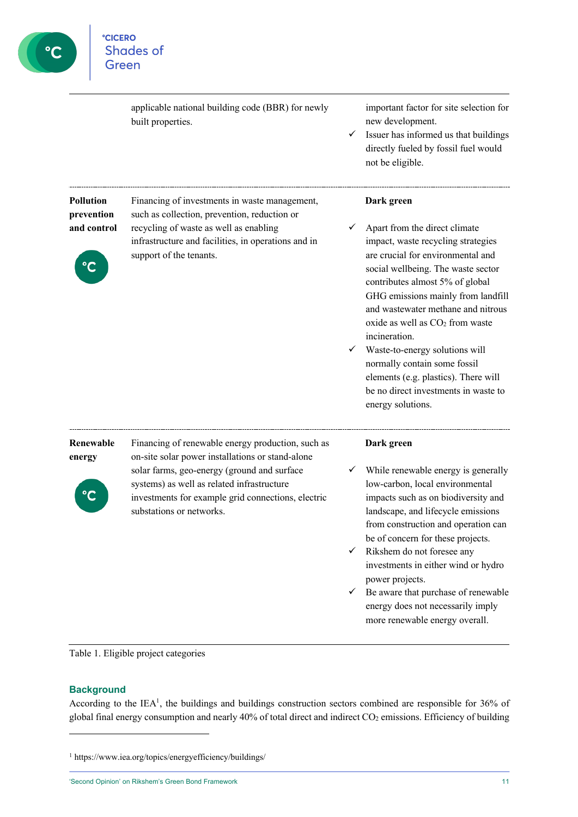

|                                | applicable national building code (BBR) for newly<br>built properties.                                                                                                      | ✓                            | important factor for site selection for<br>new development.<br>Issuer has informed us that buildings<br>directly fueled by fossil fuel would<br>not be eligible.                                                                                                                                                                                                                                                                                                                                     |
|--------------------------------|-----------------------------------------------------------------------------------------------------------------------------------------------------------------------------|------------------------------|------------------------------------------------------------------------------------------------------------------------------------------------------------------------------------------------------------------------------------------------------------------------------------------------------------------------------------------------------------------------------------------------------------------------------------------------------------------------------------------------------|
| <b>Pollution</b><br>prevention | Financing of investments in waste management,<br>such as collection, prevention, reduction or                                                                               |                              | Dark green                                                                                                                                                                                                                                                                                                                                                                                                                                                                                           |
| and control                    | recycling of waste as well as enabling<br>infrastructure and facilities, in operations and in<br>support of the tenants.                                                    |                              | Apart from the direct climate<br>impact, waste recycling strategies<br>are crucial for environmental and<br>social wellbeing. The waste sector<br>contributes almost 5% of global<br>GHG emissions mainly from landfill<br>and wastewater methane and nitrous<br>oxide as well as CO <sub>2</sub> from waste<br>incineration.<br>Waste-to-energy solutions will<br>normally contain some fossil<br>elements (e.g. plastics). There will<br>be no direct investments in waste to<br>energy solutions. |
| Renewable<br>energy            | Financing of renewable energy production, such as<br>on-site solar power installations or stand-alone                                                                       |                              | Dark green                                                                                                                                                                                                                                                                                                                                                                                                                                                                                           |
|                                | solar farms, geo-energy (ground and surface<br>systems) as well as related infrastructure<br>investments for example grid connections, electric<br>substations or networks. | $\checkmark$<br>$\checkmark$ | While renewable energy is generally<br>low-carbon, local environmental<br>impacts such as on biodiversity and<br>landscape, and lifecycle emissions<br>from construction and operation can<br>be of concern for these projects.<br>Rikshem do not foresee any<br>investments in either wind or hydro<br>power projects.<br>Be aware that purchase of renewable<br>energy does not necessarily imply<br>more renewable energy overall.                                                                |

Table 1. Eligible project categories

### **Background**

According to the IEA<sup>1</sup>, the buildings and buildings construction sectors combined are responsible for  $36\%$  of global final energy consumption and nearly 40% of total direct and indirect CO<sub>2</sub> emissions. Efficiency of building

'Second Opinion' on Rikshem's Green Bond Framework 11

<sup>1</sup> https://www.iea.org/topics/energyefficiency/buildings/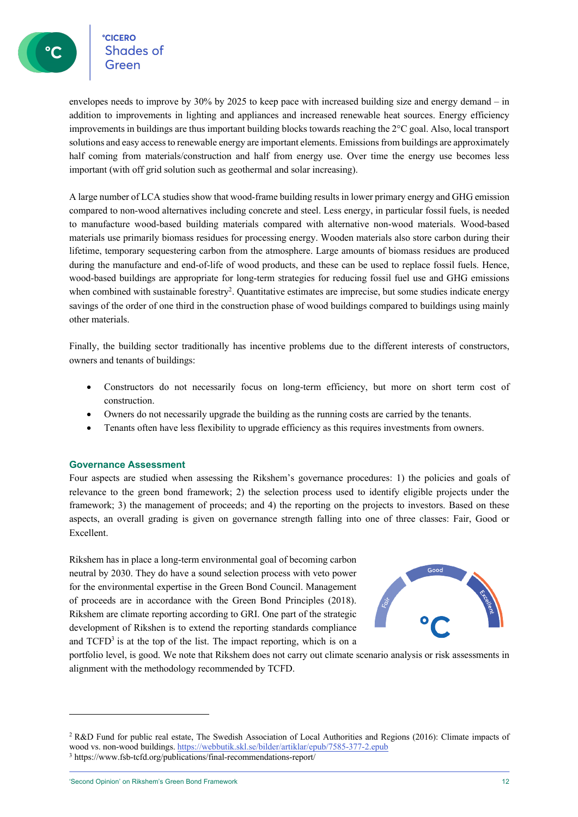**CICERO Shades of** 

envelopes needs to improve by 30% by 2025 to keep pace with increased building size and energy demand – in addition to improvements in lighting and appliances and increased renewable heat sources. Energy efficiency improvements in buildings are thus important building blocks towards reaching the 2°C goal. Also, local transport solutions and easy access to renewable energy are important elements. Emissions from buildings are approximately half coming from materials/construction and half from energy use. Over time the energy use becomes less important (with off grid solution such as geothermal and solar increasing).

A large number of LCA studies show that wood-frame building results in lower primary energy and GHG emission compared to non-wood alternatives including concrete and steel. Less energy, in particular fossil fuels, is needed to manufacture wood-based building materials compared with alternative non-wood materials. Wood-based materials use primarily biomass residues for processing energy. Wooden materials also store carbon during their lifetime, temporary sequestering carbon from the atmosphere. Large amounts of biomass residues are produced during the manufacture and end-of-life of wood products, and these can be used to replace fossil fuels. Hence, wood-based buildings are appropriate for long-term strategies for reducing fossil fuel use and GHG emissions when combined with sustainable forestry<sup>2</sup>. Quantitative estimates are imprecise, but some studies indicate energy savings of the order of one third in the construction phase of wood buildings compared to buildings using mainly other materials.

Finally, the building sector traditionally has incentive problems due to the different interests of constructors, owners and tenants of buildings:

- Constructors do not necessarily focus on long-term efficiency, but more on short term cost of construction.
- Owners do not necessarily upgrade the building as the running costs are carried by the tenants.
- Tenants often have less flexibility to upgrade efficiency as this requires investments from owners.

### **Governance Assessment**

Four aspects are studied when assessing the Rikshem's governance procedures: 1) the policies and goals of relevance to the green bond framework; 2) the selection process used to identify eligible projects under the framework; 3) the management of proceeds; and 4) the reporting on the projects to investors. Based on these aspects, an overall grading is given on governance strength falling into one of three classes: Fair, Good or Excellent.

Rikshem has in place a long-term environmental goal of becoming carbon neutral by 2030. They do have a sound selection process with veto power for the environmental expertise in the Green Bond Council. Management of proceeds are in accordance with the Green Bond Principles (2018). Rikshem are climate reporting according to GRI. One part of the strategic development of Rikshen is to extend the reporting standards compliance and  $TCFD<sup>3</sup>$  is at the top of the list. The impact reporting, which is on a



portfolio level, is good. We note that Rikshem does not carry out climate scenario analysis or risk assessments in alignment with the methodology recommended by TCFD.

<sup>2</sup> R&D Fund for public real estate, The Swedish Association of Local Authorities and Regions (2016): Climate impacts of wood vs. non-wood buildings. https://webbutik.skl.se/bilder/artiklar/epub/7585-377-2.epub <sup>3</sup> https://www.fsb-tcfd.org/publications/final-recommendations-report/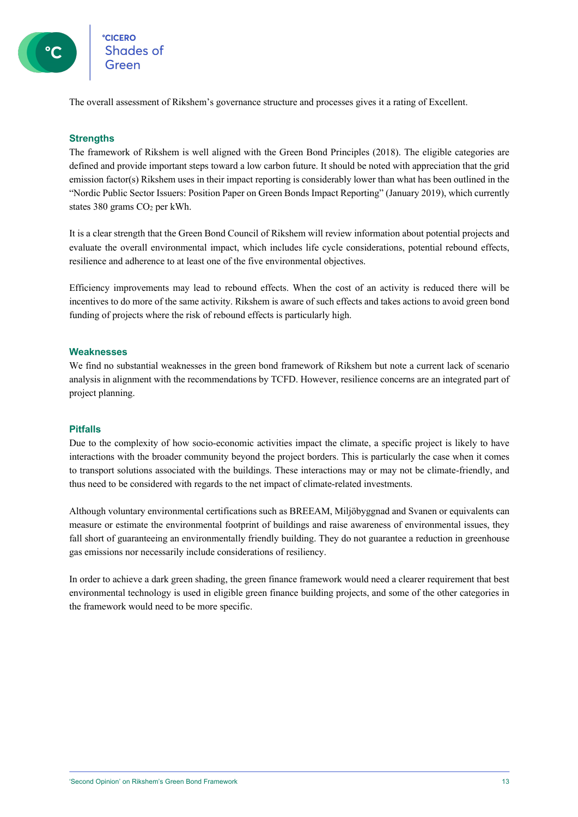

The overall assessment of Rikshem's governance structure and processes gives it a rating of Excellent.

### **Strengths**

The framework of Rikshem is well aligned with the Green Bond Principles (2018). The eligible categories are defined and provide important steps toward a low carbon future. It should be noted with appreciation that the grid emission factor(s) Rikshem uses in their impact reporting is considerably lower than what has been outlined in the "Nordic Public Sector Issuers: Position Paper on Green Bonds Impact Reporting" (January 2019), which currently states 380 grams CO2 per kWh.

It is a clear strength that the Green Bond Council of Rikshem will review information about potential projects and evaluate the overall environmental impact, which includes life cycle considerations, potential rebound effects, resilience and adherence to at least one of the five environmental objectives.

Efficiency improvements may lead to rebound effects. When the cost of an activity is reduced there will be incentives to do more of the same activity. Rikshem is aware of such effects and takes actions to avoid green bond funding of projects where the risk of rebound effects is particularly high.

### **Weaknesses**

We find no substantial weaknesses in the green bond framework of Rikshem but note a current lack of scenario analysis in alignment with the recommendations by TCFD. However, resilience concerns are an integrated part of project planning.

### **Pitfalls**

Due to the complexity of how socio-economic activities impact the climate, a specific project is likely to have interactions with the broader community beyond the project borders. This is particularly the case when it comes to transport solutions associated with the buildings. These interactions may or may not be climate-friendly, and thus need to be considered with regards to the net impact of climate-related investments.

Although voluntary environmental certifications such as BREEAM, Miljöbyggnad and Svanen or equivalents can measure or estimate the environmental footprint of buildings and raise awareness of environmental issues, they fall short of guaranteeing an environmentally friendly building. They do not guarantee a reduction in greenhouse gas emissions nor necessarily include considerations of resiliency.

In order to achieve a dark green shading, the green finance framework would need a clearer requirement that best environmental technology is used in eligible green finance building projects, and some of the other categories in the framework would need to be more specific.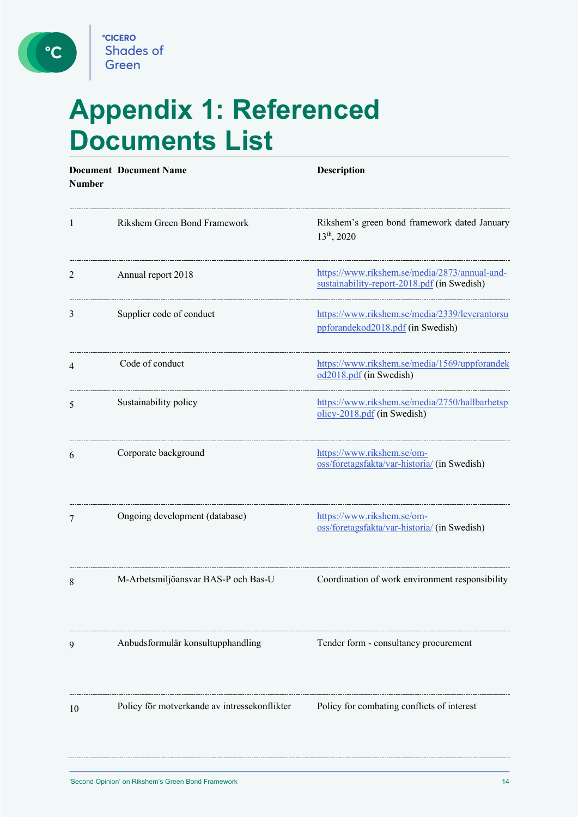C

# **Appendix 1: Referenced Documents List**

| <b>Number</b> | <b>Document Document Name</b>                | <b>Description</b>                                                                           |
|---------------|----------------------------------------------|----------------------------------------------------------------------------------------------|
| $\perp$       | Rikshem Green Bond Framework                 | Rikshem's green bond framework dated January<br>13 <sup>th</sup> , 2020                      |
| 2             | Annual report 2018                           | https://www.rikshem.se/media/2873/annual-and-<br>sustainability-report-2018.pdf (in Swedish) |
| 3             | Supplier code of conduct                     | https://www.rikshem.se/media/2339/leverantorsu<br>ppforandekod2018.pdf (in Swedish)          |
| 4             | Code of conduct                              | https://www.rikshem.se/media/1569/uppforandek<br>od2018.pdf (in Swedish)                     |
| 5             | Sustainability policy                        | https://www.rikshem.se/media/2750/hallbarhetsp<br>olicy-2018.pdf (in Swedish)                |
| 6             | Corporate background                         | https://www.rikshem.se/om-<br>oss/foretagsfakta/var-historia/ (in Swedish)                   |
| 7             | Ongoing development (database)               | https://www.rikshem.se/om-<br>oss/foretagsfakta/var-historia/ (in Swedish)                   |
| 8             | M-Arbetsmiljöansvar BAS-P och Bas-U          | Coordination of work environment responsibility                                              |
| 9             | Anbudsformulär konsultupphandling            | Tender form - consultancy procurement                                                        |
| 10            | Policy för motverkande av intressekonflikter | Policy for combating conflicts of interest                                                   |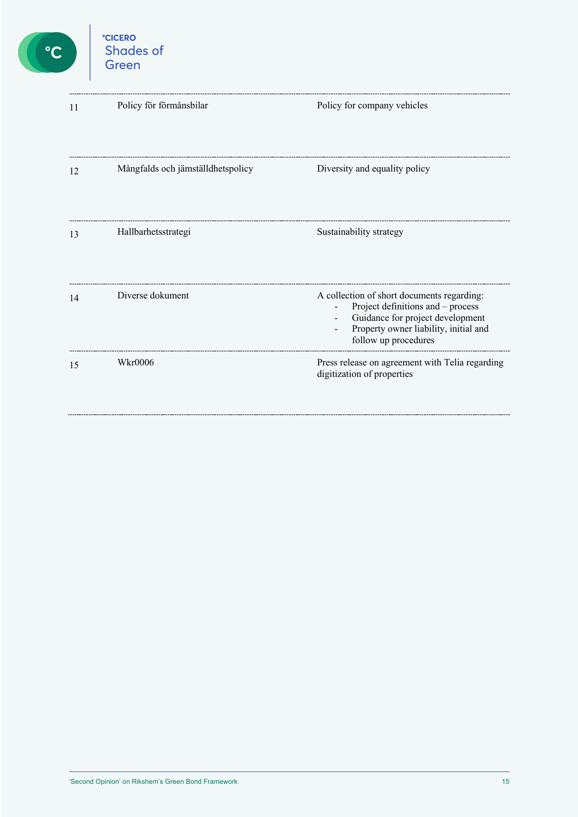

| 11 | Policy för förmånsbilar           | Policy for company vehicles                                                                                                                                                                        |
|----|-----------------------------------|----------------------------------------------------------------------------------------------------------------------------------------------------------------------------------------------------|
| 12 | Mångfalds och jämställdhetspolicy | Diversity and equality policy                                                                                                                                                                      |
| 13 | Hallbarhetsstrategi               | Sustainability strategy                                                                                                                                                                            |
| 14 | Diverse dokument                  | A collection of short documents regarding:<br>Project definitions and - process<br>Guidance for project development<br>$\sim 100$<br>Property owner liability, initial and<br>follow up procedures |
| 15 | <b>Wkr0006</b>                    | Press release on agreement with Telia regarding<br>digitization of properties                                                                                                                      |